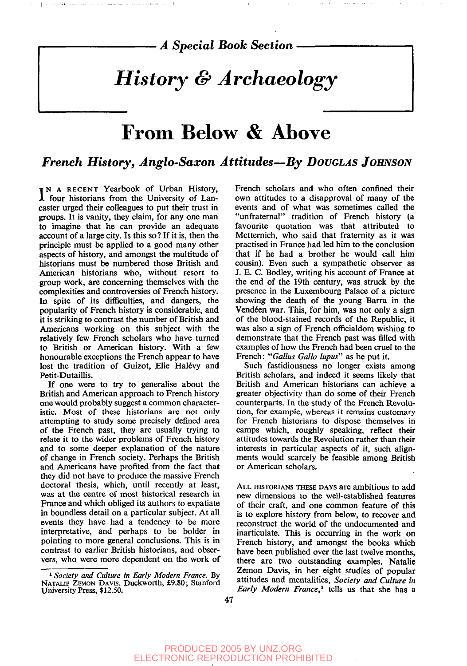*A Special Book Section*

# *History & Archaeology*

## From Below & Above

### *French History, Anglo-Saxon Attitudes—By DOUGLAS JOHNSON*

IN A RECENT Yearbook of Urban History,<br>I four historians from the University of Lanfour historians from the University of Lancaster urged their colleagues to put their trust in groups. It is vanity, they claim, for any one man to imagine that he can provide an adequate account of a large city. Is this so? If it is, then the principle must be applied to a good many other aspects of history, and amongst the multitude of historians must be numbered those British and American historians who, without resort to group work, are concerning themselves with the complexities and controversies of French history. In spite of its difficulties, and dangers, the popularity of French history is considerable, and it is striking to contrast the number of British and Americans working on this subject with the relatively few French scholars who have turned to British or American history. With a few honourable exceptions the French appear to have lost the tradition of Guizot, Elie Halévy and Petit-Dutaillis.

If one were to try to generalise about the British and American approach to French history one would probably suggest a common characteristic. Most of these historians are not only attempting to study some precisely defined area of the French past, they are usually trying to relate it to the wider problems of French history and to some deeper explanation of the nature of change in French society. Perhaps the British and Americans have profited from the fact that they did not have to produce the massive French doctoral thesis, which, until recently at least, was at the centre of most historical research in France and which obliged its authors to expatiate in boundless detail on a particular subject. At all events they have had a tendency to be more interpretative, and perhaps to be bolder in pointing to more general conclusions. This is in contrast to earlier British historians, and observers, who were more dependent on the work of French scholars and who often confined their own attitudes to a disapproval of many of the events and of what was sometimes called the "unfraternal" tradition of French history (a favourite quotation was that attributed to Metternich, who said that fraternity as it was practised in France had led him to the conclusion that if he had a brother he would call him cousin). Even such a sympathetic observer as J. E. C. Bodley, writing his account of France at the end of the 19th century, was struck by the presence in the Luxembourg Palace of a picture showing the death of the young Barra in the Vendéen war. This, for him, was not only a sign of the blood-stained records of the Republic, it was also a sign of French officialdom wishing to demonstrate that the French past was filled with examples of how the French had been cruel to the French: *"Gallus Gallo lupus"* as he put it.

Such fastidiousness no longer exists among British scholars, and indeed it seems likely that British and American historians can achieve a greater objectivity than do some of their French counterparts. In the study of the French Revolution, for example, whereas it remains customary for French historians to dispose themselves in camps which, roughly speaking, reflect their attitudes towards the Revolution rather than their interests in particular aspects of it, such alignments would scarcely be feasible among British or American scholars.

ALL HISTORIANS THESE DAYS are ambitious to add new dimensions to the well-established features of their craft, and one common feature of this is to explore history from below, to recover and reconstruct the world of the undocumented and inarticulate. This is occurring in the work on French history, and amongst the books which have been published over the last twelve months, there are two outstanding examples. Natalie Zemon Davis, in her eight studies of popular attitudes and mentalities, *Society and Culture in Early Modern France,<sup>1</sup>* tells us that she has a

<sup>1</sup>  *Society and Culture in Early Modern France.* By NATALIE ZEMON DAVIS. Duckworth, £9.80; Stanford University Press, \$12.50.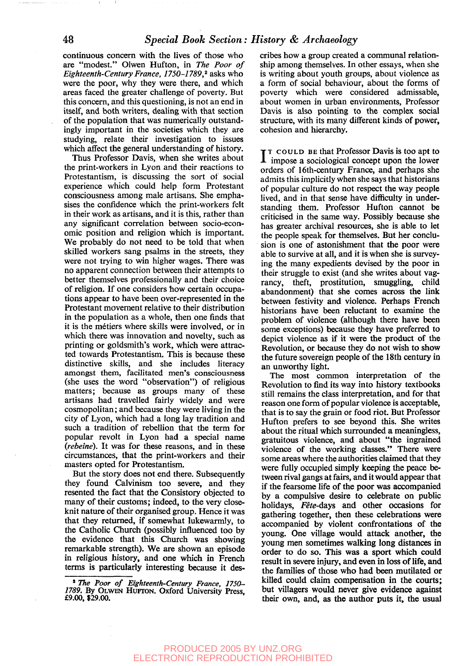continuous concern with the lives of those who are "modest." Olwen Hufton, in *The Poor of Eighteenth-Century France, 1750-1789,<sup>2</sup>* asks who were the poor, why they were there, and which areas faced the greater challenge of poverty. But this concern, and this questioning, is not an end in itself, and both writers, dealing with that section of the population that was numerically outstandingly important in the societies which they are studying, relate their investigation to issues which affect the general understanding of history.

Thus Professor Davis, when she writes about the print-workers in Lyon and their reactions to Protestantism, is discussing the sort of social experience which could help form Protestant consciousness among male artisans. She emphasises the confidence which the print-workers felt in their work as artisans, and it is this, rather than any significant correlation between socio-economic position and religion which is important. We probably do not need to be told that when skilled workers sang psalms in the streets, they were not trying to win higher wages. There was no apparent connection between their attempts to better themselves professionally and their choice of religion. If one considers how certain occupations appear to have been over-represented in the Protestant movement relative to their distribution in the population as a whole, then one finds that it is the metiers where skills were involved, or in which there was innovation and novelty, such as printing or goldsmith's work, which were attracted towards Protestantism. This is because these distinctive skills, and she includes literacy amongst them, facilitated men's consciousness (she uses the word "observation") of religious matters; because as groups many of these artisans had travelled fairly widely and were cosmopolitan; and because they were living in the city of Lyon, which had a long lay tradition and such a tradition of rebellion that the term for popular revolt in Lyon had a special name *(rebeine).* It was for these reasons, and in these circumstances, that the print-workers and their masters opted for Protestantism.

But the story does not end there. Subsequently they found Calvinism too severe, and they resented the fact that the Consistory objected to many of their customs; indeed, to the very closeknit nature of their organised group. Hence it was that they returned, if somewhat lukewarmly, to the Catholic Church (possibly influenced too by the evidence that this Church was showing remarkable strength). We are shown an episode in religious history, and one which in French terms is particularly interesting because it describes how a group created a communal relationship among themselves. In other essays, when she is writing about youth groups, about violence as a form of social behaviour, about the forms of poverty which were considered admissable, about women in urban environments, Professor Davis is also pointing to the complex social structure, with its many different kinds of power, cohesion and hierarchy.

 $I^T$  COULD BE that Professor Davis is too apt to impose a sociological concept upon the lower T COULD BE that Professor Davis is too apt to orders of 16th-century France, and perhaps she admits this implicitly when she says that historians of popular culture do not respect the way people lived, and in that sense have difficulty in understanding them. Professor Hufton cannot be criticised in the same way. Possibly because she has greater archival resources, she is able to let the people speak for themselves. But her conclusion is one of astonishment that the poor were able to survive at all, and it is when she is surveying the many expedients devised by the poor in their struggle to exist (and she writes about vagrancy, theft, prostitution, smuggling, child abandonment) that she comes across the link between festivity and violence. Perhaps French historians have been reluctant to examine the problem of violence (although there have been some exceptions) because they have preferred to depict violence as if it were the product of the Revolution, or because they do not wish to show the future sovereign people of the 18th century in an unworthy light.

The most common interpretation of the Revolution to find its way into history textbooks still remains the class interpretation, and for that reason one form of popular violence is acceptable, that is to say the grain or food riot. But Professor Hufton prefers to see beyond this. She writes about the ritual which surrounded a meaningless, gratuitous violence, and about "the ingrained violence of the working classes." There were some areas where the authorities claimed that they were fully occupied simply keeping the peace between rival gangs at fairs, and it would appear that if the fearsome life of the poor was accompanied by a compulsive desire to celebrate on public holidays, Fête-days and other occasions for gathering together, then these celebrations were accompanied by violent confrontations of the young. One village would attack another, the young men sometimes walking long distances in order to do so. This was a sport which could result in severe injury, and even in loss of life, and the families of those who had been mutilated or killed could claim compensation in the courts; but villagers would never give evidence against their own, and, as the author puts it, the usual

<sup>\*</sup> *The Poor of Eighteenth-Century France, 1750- 1789.* By OLWEN HUFTON. Oxford University Press, £9.00, \$29.00.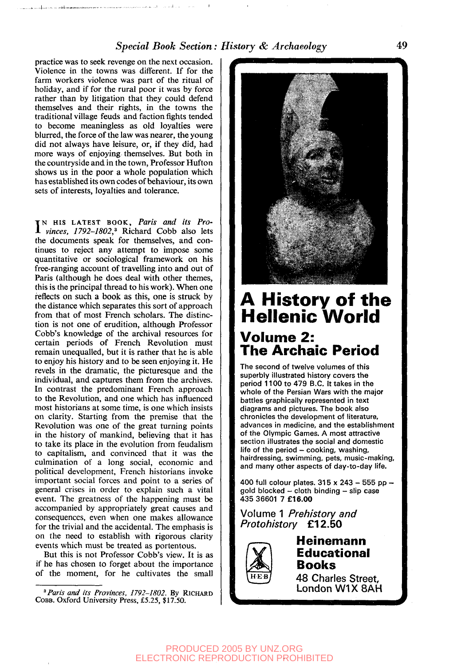#### *Special Book Section: History & Archaeology* 49

practice was to seek revenge on the next occasion. Violence in the towns was different. If for the farm workers violence was part of the ritual of holiday, and if for the rural poor it was by force rather than by litigation that they could defend themselves and their rights, in the towns the traditional village feuds and faction fights tended to become meaningless as old loyalties were blurred, the force of the law was nearer, the young did not always have leisure, or, if they did, had more ways of enjoying themselves. But both in the countryside and in the town, Professor Hufton shows us in the poor a whole population which has established its own codes of behaviour, its own sets of interests, loyalties and tolerance.

IN HIS LATEST BOOK, Paris and its Pro-<br>*vinces, 1792-1802*,<sup>3</sup> Richard Cobb also lets N HIS LATEST BOOK, *Paris and its Pro*the documents speak for themselves, and continues to reject any attempt to impose some quantitative or sociological framework on his free-ranging account of travelling into and out of Paris (although he does deal with other themes, this is the principal thread to his work). When one reflects on such a book as this, one is struck by the distance which separates this sort of approach from that of most French scholars. The distinction is not one of erudition, although Professor Cobb's knowledge of the archival resources for certain periods of French Revolution must remain unequalled, but it is rather that he is able to enjoy his history and to be seen enjoying it. He revels in the dramatic, the picturesque and the individual, and captures them from the archives. In contrast the predominant French approach to the Revolution, and one which has influenced most historians at some time, is one which insists on clarity. Starting from the premise that the Revolution was one of the great turning points in the history of mankind, believing that it has to take its place in the evolution from feudalism to capitalism, and convinced that it was the culmination of a long social, economic and political development, French historians invoke important social forces and point to a series of general crises in order to explain such a vital event. The greatness of the happening must be accompanied by appropriately great causes and consequences, even when one makes allowance for the trivial and the accidental. The emphasis is on the need to establish with rigorous clarity events which must be treated as portentous.

But this is not Professor Cobb's view. It is as if he has chosen to forget about the importance of the moment, for he cultivates the small



## **A History of the Hellenic World Volume 2: The Archaic Period**

The second of twelve volumes of this superbly illustrated history covers the period 1100 to 479 B.C. It takes in the whole of the Persian Wars with the major battles graphically represented in text diagrams and pictures. The book also chronicles the development of literature, advances in medicine, and the establishment of the Olympic Games. A most attractive section illustrates the social and domestic life of the period - cooking, washing, hairdressing, swimming, pets, music-making, and many other aspects of day-to-day life.

400 full colour plates.  $315 \times 243 - 555$  pp gold blocked - cloth binding - slip case 435 36601 7 **£16.00**

Volume 1 Prehistory and Protohistory £12.50



## **Heinemann Educational Books**

48 Charles Street, London W1X8AH

<sup>&</sup>lt;sup>3</sup> Paris and its Provinces, 1792-1802. By RICHARD COBB. Oxford University Press, £5.25, \$17.50.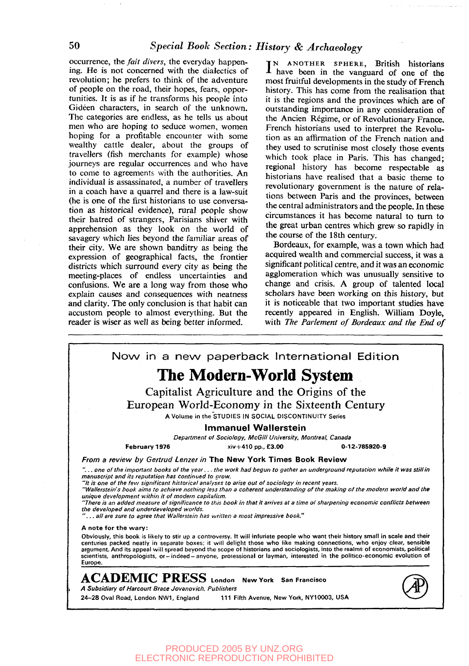occurrence, the *fait divers,* the everyday happening. He is not concerned with the dialectics of revolution; he prefers to think of the adventure of people on the road, their hopes, fears, opportunities. It is as if he transforms his people into Gideen characters, in search of the unknown. The categories are endless, as he tells us about men who are hoping to seduce women, women hoping for a profitable encounter with some wealthy cattle dealer, about the groups of travellers (fish merchants for example) whose journeys are regular occurrences and who have to come to agreements with the authorities. An individual is assassinated, a number of travellers in a coach have a quarrel and there is a law-suit (he is one of the first historians to use conversation as historical evidence), rural people show their hatred of strangers, Parisians shiver with apprehension as they look on the world of savagery which lies beyond the familiar areas of their city. We are shown banditry as being the expression of geographical facts, the frontier districts which surround every city as being the meeting-places of endless uncertainties and confusions. We are a long way from those who explain causes and consequences with neatness and clarity. The only conclusion is that habit can accustom people to almost everything. But the reader is wiser as well as being better informed.

IN ANOTHER SPHERE, British historians<br>I have been in the vanguard of one of the N ANOTHER SPHERE, British historians most fruitful developments in the study of French history. This has come from the realisation that it is the regions and the provinces which are of outstanding importance in any consideration of the Ancien Regime, or of Revolutionary France. French historians used to interpret the Revolution as an affirmation of the French nation and they used to scrutinise most closely those events which took place in Paris. This has changed; regional history has become respectable as historians have realised that a basic theme to revolutionary government is the nature of relations between Paris and the provinces, between the central administrators and the people. In these circumstances it has become natural to turn to the great urban centres which grew so rapidly in the course of the 18th century.

Bordeaux, for example, was a town which had acquired wealth and commercial success, it was a significant political centre, and it was an economic agglomeration which was unusually sensitive to change and crisis. A group of talented local scholars have been working on this history, but it is noticeable that two important studies have recently appeared in English. William Doyle, with *The Parlement of Bordeaux and the End of*



PRODUCED 2005 BY UNZ.ORG ELECTRONIC REPRODUCTION PROHIBITED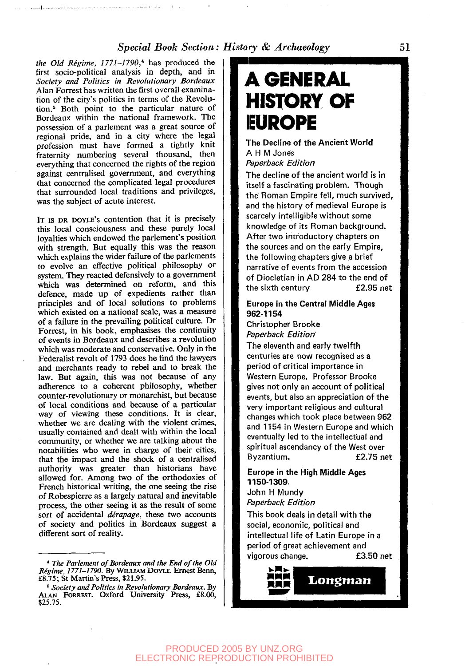#### *Special Book Section: History & Archaeology* 51

*the Old Regime, 1771-1790,\** has produced the first socio-political analysis in depth, and in *Society and Politics in Revolutionary Bordeaux* Alan Forrest has written the first overall examination of the city's politics in terms of the Revolution.<sup>6</sup> Both point to the particular nature of Bordeaux within the national framework. The possession of a parlement was a great source of regional pride, and in a city where the legal profession must have formed a tightly knit fraternity numbering several thousand, then everything that concerned the rights of the region against centralised government, and everything that concerned the complicated legal procedures that surrounded local traditions and privileges, was the subject of acute interest.

ومراددته والمتعمل وديدت المستستعد وتحدده الماستدعائك للقصد ويتمرض والحرارين

IT IS DR DOYLE'S contention that it is precisely this local consciousness and these purely local loyalties which endowed the parlement's position with strength. But equally this was the reason which explains the wider failure of the parlements to evolve an effective political philosophy or system. They reacted defensively to a government which was determined on reform, and this defence, made up of expedients rather than principles and of local solutions to problems which existed on a national scale, was a measure of a failure in the prevailing political culture. Dr Forrest, in his book, emphasises the continuity of events in Bordeaux and describes a revolution which was moderate and conservative. Only in the Federalist revolt of 1793 does he find the lawyers and merchants ready to rebel and to break the law. But again, this was not because of any adherence to a coherent philosophy, whether counter-revolutionary or monarchist, but because of local conditions and because of a particular way of viewing these conditions. It is clear, whether we are dealing with the violent crimes, usually contained and dealt with within the local community, or whether we are talking about the notabilities who were in charge of their cities, that the impact and the shock of a centralised authority was greater than historians have allowed for. Among two of the orthodoxies of French historical writing, the one seeing the rise of Robespierre as a largely natural and inevitable process, the other seeing it as the result of some sort of accidental *derapage,* these two accounts of society and politics in Bordeaux suggest a different sort of reality.

6  *Society and Politics in Revolutionary Bordeaux.* By ALAN FORREST. Oxford University Press, £8.00, \$25.75.

# **A GENERAL HISTORY OF EUROPE**

The Decline of the Ancient World A H M Jones Paperback Edition

The decline of the ancient world is in itself a fascinating problem. Though the Roman Empire fell, much survived, and the history of medieval Europe is scarcely intelligible without some knowledge of its Roman background. After two introductory chapters on the sources and on the early Empire, the following chapters give a brief narrative of events from the accession of Diocletian in AD 284 to the end of the sixth century £2.95 net

#### Europe in the Central Middle Ages 962-1154

Christopher Brooke Paperback Edition

The eleventh and early twelfth centuries are now recognised as a period of critical importance in Western Europe. Professor Brooke gives not only an account of political events, but also an appreciation of the very important religious and cultural changes which took place between 962 and 1154 in Western Europe and which eventually led to the intellectual and spiritual ascendancy of the West over Byzantium. £2.75 net

#### Europe in the High Middle Ages 1150-1309:

John H Mundy Paperback Edition

This book deals in detail with the social, economic, political and intellectual life of Latin Europe in a period of great achievement and vigorous change. £3.50 net

*mmm* Longman

*<sup>\*</sup> The Parlement of Bordeaux and the End of the Old Regime, 1771-1790.* By WILLIAM DOYLE. Ernest Benn, £8.75; St Martin's Press, \$21.95.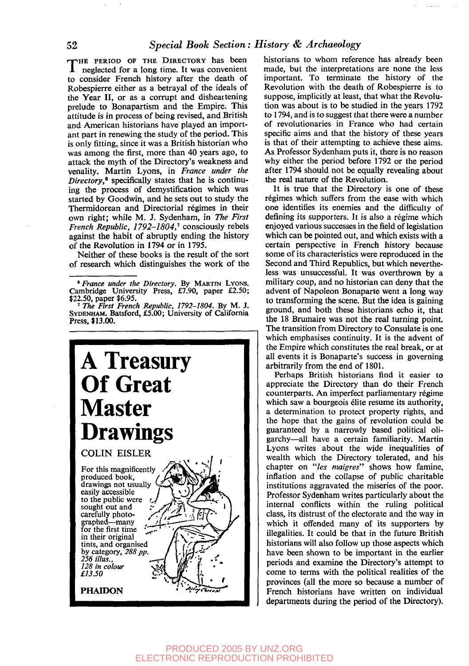THE PERIOD OF THE DIRECTORY has been<br>neglected for a long time. It was convenient HE PERIOD OF THE DIRECTORY has been to consider French history after the death of Robespierre either as a betrayal of the ideals of the Year II, or as a corrupt and disheartening prelude to Bonapartism and the Empire. This attitude is in process of being revised, and British and American historians have played an important part in renewing the study of the period. This is only fitting, since it was a British historian who was among the first, more than 40 years ago, to attack the myth of the Directory's weakness and venality. Martin Lyons, in *France under the Directory,"* specifically states that he is continuing the process of demystification which was started by Goodwin, and he sets out to study the Thermidorean and Directorial regimes in their own right; while M. J. Sydenham, in *The First French Republic, 1792-1804,*' consciously rebels against the habit of abruptly ending the history of the Revolution in 1794 or in 1795.

Neither of these books is the result of the sort of research which distinguishes the work of the

<sup>122.50,</sup> paper \$6.95. 7  *The First French Republic, 1792-1804.* By M. J. SYDENHAM. Batsford, £5.00; University of California Press, \$13.00.



historians to whom reference has already been made, but the interpretations are none the less important. To terminate the history of the Revolution with the death of Robespierre is to suppose, implicitly at least, that what the Revolution was about is to be studied in the years 1792 to 1794, and is to suggest that there were a number of revolutionaries in France who had certain specific aims and that the history of these years is that of their attempting to achieve these aims. As Professor Sydenham puts it, there is no reason why either the period before 1792 or the period after 1794 should not be equally revealing about the real nature of the Revolution.

It is true that the Directory is one of these régimes which suffers from the ease with which one identifies its enemies and the difficulty of defining its supporters. It is also a régime which enjoyed various successes in the field of legislation which can be pointed out, and which exists with a certain perspective in French history because some of its characteristics were reproduced in the Second and Third Republics, but which nevertheless was unsuccessful. It was overthrown by a military coup, and no historian can deny that the advent of Napoleon Bonaparte went a long way to transforming the scene. But the idea is gaining ground, and both these historians echo it, that the 18 Brumaire was not the real turning point. The transition from Directory to Consulate is one which emphasises continuity. It is the advent of the Empire which constitutes the real break, or at all events it is Bonaparte's success in governing arbitrarily from the end of 1801.

Perhaps British historians find it easier to appreciate the Directory than do their French counterparts. An imperfect parliamentary regime which saw a bourgeois élite resume its authority, a determination to protect property rights, and the hope that the gains of revolution could be guaranteed by a narrowly based political oligarchy—all have a certain familiarity. Martin Lyons writes about the wide inequalities of wealth which the Directory tolerated, and his chapter on *"les maigres"* shows how famine, inflation and the collapse of public charitable institutions aggravated the miseries of the poor. Professor Sydenham writes particularly about the internal conflicts within the ruling political class, its distrust of the electorate and the way in which it offended many of its supporters by illegalities. It could be that in the future British historians will also follow up those aspects which have been shown to be important in the earlier periods and examine the Directory's attempt to come to terms with the political realities of the provinces (all the more so because a number of provinces (all the more so because a number of<br>Erench historians have written on individual French historians have written on individual<br>departments during the period of the Directory).

*<sup>&</sup>quot;France under the Directory.* By MARTIN LYONS. Cambridge University Press, £7.90, paper £2.50;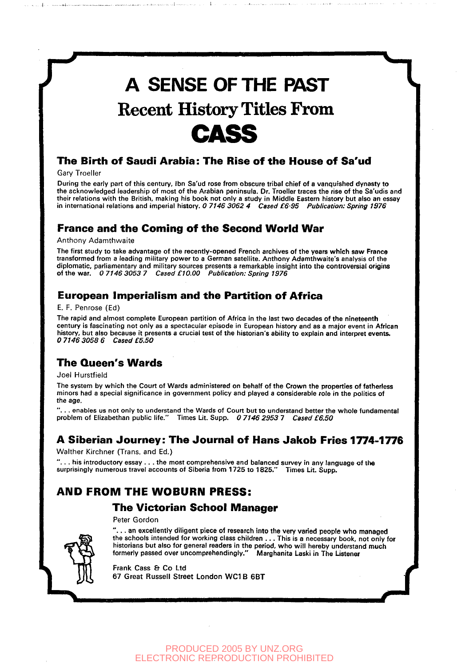

Gary Troeller

During the early part of this century, Ibn Sa'ud rose from obscure tribal chief of a vanquished dynasty to the acknowledged leadership of most of the Arabian peninsula. Dr. Troeller traces the rise of the Sa'udis and their relations with the British, making his book not only a study in Middle Eastern history but also an essay in international relations and imperial history. 0 7146 3062 4 Cased £6.95 Publication: Spring 1976

### **France and the Coming of the Second World War**

Anthony Adamthwaite

The first study to take advantage of the recently-opened French archives of the years which saw France transformed from a leading military power to a German satellite. Anthony Adamthwaite's analysis of the diplomatic, parliamentary and military sources presents a remarkable insight into the controversial origins of the war. 0 7146 3053 7 Cased £10.00 Publication: Spring 1976

### **European Imperialism and the Partition of Africa**

#### E. F. Penrose (Ed)

The rapid and almost complete European partition of Africa in the last two decades of the nineteenth century is fascinating not only as a spectacular episode in European history and as a major event in African history, but also because it presents a crucial test of the historian's ability to explain and interpret events. 0 7146 3058 6 Cased £5.50

#### **The Queen's Wards**

#### Joel Hurstfield

The system by which the Court of Wards administered on behalf of the Crown the properties of fatherless minors had a special significance in government policy and played a considerable role in the politics of the age.

.. enables us not only to understand the Wards of Court but to understand better the whole fundamental problem of Elizabethan public life." Times Lit. Supp. 0 7146 2953 7 Cased £6.50

#### **A Siberian Journey: The Journal of Hans Jakob Fries 1774-1776**

Walther Kirchner (Trans, and Ed.)

. . . his introductory essay . . . the most comprehensive and balanced survey in any language of th<mark>e</mark><br>urprisingly numerous travel accounts of Siberia from 1725 to 1825.'' Times Lit. Supp. surprisingly numerous travel accounts of Siberia from 1725 to 1825."

### **AND FROM THE WOBURN PRESS:**

#### **The Victorian School Manager**

Peter Gordon

".. . an excellently diligent piece of research into the very varied people who managed the schools intended for working class children .. . This is a necessary book, not only for historians but also for general readers in the period, who will hereby understand much formerly passed over uncomprehendingly." Marghanita Laski in The Listener

Frank Cass & Co Ltd 67 Great Russell Street London WC1 B 6BT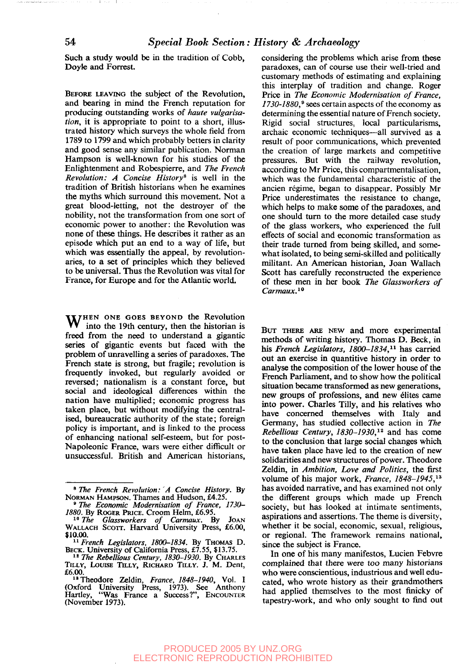Such a study would be in the tradition of Cobb, Doyle and Forrest.

BEFORE LEAVING the subject of the Revolution, and bearing in mind the French reputation for producing outstanding works of *haute vulgarisation,* it is appropriate to point to a short, illustrated history which surveys the whole field from 1789 to 1799 and which probably betters in clarity and good sense any similar publication. Norman Hampson is well-known for his studies of the Enlightenment and Robespierre, and *The French Revolution: A Concise History\** is well in the tradition of British historians when he examines the myths which surround this movement. Not a great blood-letting, not the destroyer of the nobility, not the transformation from one sort of economic power to another: the Revolution was none of these things. He describes it rather as an episode which put an end to a way of life, but which was essentially the appeal, by revolutionaries, to a set of principles which they believed to be universal. Thus the Revolution was vital for France, for Europe and for the Atlantic world.

WHEN ONE GOES BEYOND the Revolution into the 19th century, then the historian is freed from the need to understand a gigantic series of gigantic events but faced with the problem of unravelling a series of paradoxes. The French state is strong, but fragile; revolution is frequently invoked, but regularly avoided or reversed; nationalism is a constant force, but social and ideological differences within the nation have multiplied; economic progress has taken place, but without modifying the centralised, bureaucratic authority of the state; foreign policy is important, and is linked to the process of enhancing national self-esteem, but for post-Napoleonic France, wars were either difficult or unsuccessful. British and American historians, considering the problems which arise from these paradoxes, can of course use their well-tried and customary methods of estimating and explaining this interplay of tradition and change. Roger Price in *The Economic Modernisation of France, 1730-1880/* sees certain aspects of the economy as determining the essential nature of French society. Rigid social structures, local particularisms, archaic economic techniques—all survived as a result of poor communications, which prevented the creation of large markets and competitive pressures. But with the railway revolution, according to Mr Price, this compartmentalisation, which was the fundamental characteristic of the ancien regime, began to disappear. Possibly Mr Price underestimates the resistance to change, which helps to make some of the paradoxes, and one should turn to the more detailed case study of the glass workers, who experienced the full effects of social and economic transformation as their trade turned from being skilled, and somewhat isolated, to being semi-skilled and politically militant. An American historian, Joan Wallach Scott has carefully reconstructed the experience of these men in her book *The Glassworkers of Carmaux.<sup>10</sup>*

BUT THERE ARE NEW and more experimental methods of writing history. Thomas D. Beck, in his *French Legislators, 1800-1834,<sup>11</sup>* has carried out an exercise in quantitive history in order to analyse the composition of the lower house of the French Parliament, and to show how the political situation became transformed as new generations, new groups of professions, and new elites came into power. Charles Tilly, and his relatives who have concerned themselves with Italy and Germany, has studied collective action in *The Rebellious Century, 1830-1930,<sup>12</sup>* and has come to the conclusion that large social changes which have taken place have led to the creation of new solidarities and new structures of power. Theodore Zeldin, in *Ambition, Love and Politics,* the first volume of his major work, *France, 1848-1945,<sup>13</sup>* has avoided narrative, and has examined not only the different groups which made up French society, but has looked at intimate sentiments, aspirations and assertions. The theme is diversity, whether it be social, economic, sexual, religious, or regional. The framework remains national, since the subject is France.

In one of his many manifestos, Lucien Febvre complained that there were too many historians who were conscientious, industrious and well educated, who wrote history as their grandmothers had applied themselves to the most finicky of tapestry-work, and who only sought to find out

<sup>8</sup>  *The French Revolution: A Concise History.* By NORMAN HAMPSON. Thames and Hudson, £4.25. *" The Economic Modernisation of France, 1730-*

*<sup>1880.</sup>* By ROGER PRICE. Croom Helm, £6.95.

<sup>&</sup>lt;sup>10</sup> The Glassworkers of Carmaux. By JOAN<br>WALLACH SCOTT. Harvard University Press, £6.00, \$10.00.

<sup>11</sup>  *French Legislators, 1800-1834.* By THOMAS D. BECK. University of California Press, £7.55, \$13.75.

<sup>12</sup>  *The Rebellious Century, 1830-1930.* By CHARLES TILLY, LOUISE TILLY, RICHARD TILLY. J. M. Dent, £6.00.

<sup>&</sup>lt;sup>13</sup> Theodore Zeldin, *France*, 1848–1940, Vol. I<br>(Oxford University Press, 1973). See Anthony<br>Hartley, "Was France a Success?", ENCOUNTER (November 1973).